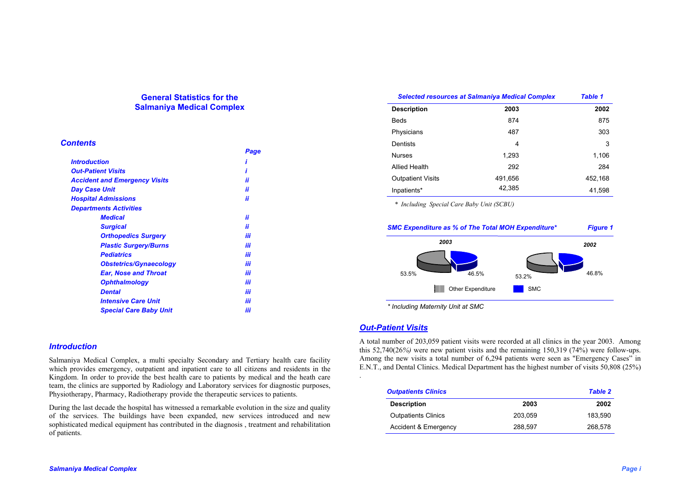# **General Statistics for the Salmaniya Medical Complex**

## *Contents*

|                                      | Page |
|--------------------------------------|------|
| <i><b>Introduction</b></i>           |      |
| <b>Out-Patient Visits</b>            |      |
| <b>Accident and Emergency Visits</b> | ii   |
| Day Case Unit                        | ii   |
| <b>Hospital Admissions</b>           | ii   |
| <b>Departments Activities</b>        |      |
| <b>Medical</b>                       | ii   |
| <b>Surgical</b>                      | ii   |
| <b>Orthopedics Surgery</b>           | iii  |
| <b>Plastic Surgery/Burns</b>         | iii  |
| <b>Pediatrics</b>                    | iii  |
| <b>Obstetrics/Gynaecology</b>        | iii  |
| <b>Ear, Nose and Throat</b>          | iii  |
| <b>Ophthalmology</b>                 | iii  |
| <b>Dental</b>                        | iii  |
| <b>Intensive Care Unit</b>           | iii  |
| <b>Special Care Baby Unit</b>        | iii  |

## *Introduction*

Salmaniya Medical Complex, a multi specialty Secondary and Tertiary health care facility which provides emergency, outpatient and inpatient care to all citizens and residents in the Kingdom. In order to provide the best health care to patients by medical and the heath care team, the clinics are supported by Radiology and Laboratory services for diagnostic purposes, Physiotherapy, Pharmacy, Radiotherapy provide the therapeutic services to patients.

During the last decade the hospital has witnessed a remarkable evolution in the size and quality of the services. The buildings have been expanded, new services introduced and new sophisticated medical equipment has contributed in the diagnosis , treatment and rehabilitation of patients.

| <b>Selected resources at Salmaniya Medical Complex</b> |         | <b>Table 1</b> |  |
|--------------------------------------------------------|---------|----------------|--|
| <b>Description</b>                                     | 2003    | 2002           |  |
| <b>Beds</b>                                            | 874     | 875            |  |
| Physicians                                             | 487     | 303            |  |
| Dentists                                               | 4       | 3              |  |
| <b>Nurses</b>                                          | 1,293   | 1,106          |  |
| <b>Allied Health</b>                                   | 292     | 284            |  |
| <b>Outpatient Visits</b>                               | 491,656 | 452,168        |  |
| Inpatients*                                            | 42,385  | 41,598         |  |

*\* Including Special Care Baby Unit (SCBU)* 



# *Out-Patient Visits*

.

A total number of 203,059 patient visits were recorded at all clinics in the year 2003. Among this 52,740(26*%)* were new patient visits and the remaining 150,319 (74%) were follow-ups. Among the new visits a total number of 6,294 patients were seen as "Emergency Cases" in E.N.T., and Dental Clinics. Medical Department has the highest number of visits 50,808 (25%)

| <b>Outpatients Clinics</b> |         | <b>Table 2</b> |  |
|----------------------------|---------|----------------|--|
| <b>Description</b>         | 2003    | 2002           |  |
| <b>Outpatients Clinics</b> | 203.059 | 183.590        |  |
| Accident & Emergency       | 288.597 | 268.578        |  |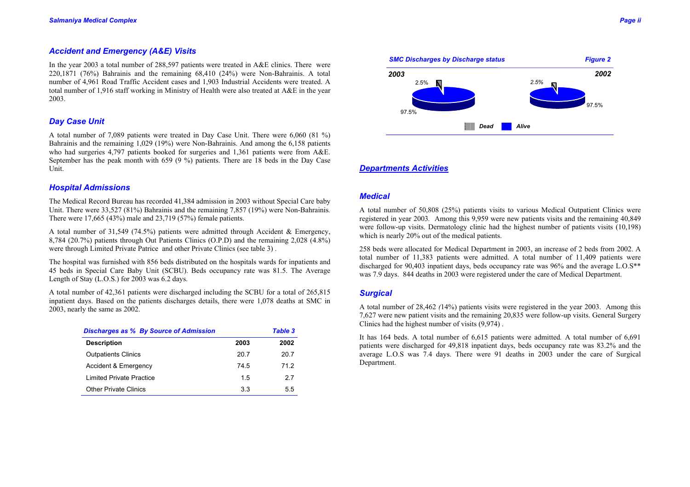## *Accident and Emergency (A&E) Visits*

In the year 2003 a total number of 288,597 patients were treated in A&E clinics. There were 220,1871 (76%) Bahrainis and the remaining 68,410 (24%) were Non-Bahrainis. A total number of 4,961 Road Traffic Accident cases and 1,903 Industrial Accidents were treated. A total number of 1,916 staff working in Ministry of Health were also treated at A&E in the year 2003.

# *Day Case Unit*

A total number of 7,089 patients were treated in Day Case Unit. There were 6,060 (81 %) Bahrainis and the remaining 1,029 (19%) were Non-Bahrainis. And among the 6,158 patients who had surgeries 4,797 patients booked for surgeries and 1,361 patients were from A&E. September has the peak month with 659 (9 %) patients. There are 18 beds in the Day Case Unit.

### *Hospital Admissions*

The Medical Record Bureau has recorded 41,384 admission in 2003 without Special Care baby Unit. There were 33,527 (81%) Bahrainis and the remaining 7,857 (19%) were Non-Bahrainis*.*  There were 17,665 (43%) male and 23,719 (57%) female patients.

A total number of 31,549 (74.5%) patients were admitted through Accident & Emergency, 8,784 (20.7%) patients through Out Patients Clinics (O.P.D) and the remaining 2,028 (4.8%) were through Limited Private Patrice and other Private Clinics (see table 3) .

The hospital was furnished with 856 beds distributed on the hospitals wards for inpatients and 45 beds in Special Care Baby Unit (SCBU). Beds occupancy rate was 81.5. The Average Length of Stay (L.O.S.) for 2003 was 6.2 days.

A total number of 42,361 patients were discharged including the SCBU for a total of 265,815 inpatient days. Based on the patients discharges details, there were 1,078 deaths at SMC in 2003, nearly the same as 2002.

| <b>Discharges as % By Source of Admission</b> |      | <b>Table 3</b> |  |
|-----------------------------------------------|------|----------------|--|
| <b>Description</b>                            | 2003 | 2002           |  |
| <b>Outpatients Clinics</b>                    | 20.7 | 20.7           |  |
| Accident & Emergency                          | 74.5 | 712            |  |
| <b>Limited Private Practice</b>               | 15   | 2.7            |  |
| <b>Other Private Clinics</b>                  | 3.3  | 5.5            |  |



### *Departments Activities*

97.5%

*2003*

## *Medical*

A total number of 50,808 (25%) patients visits to various Medical Outpatient Clinics were registered in year 2003*.* Among this 9,959 were new patients visits and the remaining 40,849 were follow-up visits. Dermatology clinic had the highest number of patients visits (10,198) which is nearly 20% out of the medical patients.

*Dead Alive* 

258 beds were allocated for Medical Department in 2003, an increase of 2 beds from 2002. A total number of 11,383 patients were admitted. A total number of 11,409 patients were discharged for 90,403 inpatient days, beds occupancy rate was 96% and the average L.O.S\*\* was 7.9 days. 844 deaths in 2003 were registered under the care of Medical Department.

### *Surgical*

A total number of 28,462 *(*14%) patients visits were registered in the year 2003. Among this 7,627 were new patient visits and the remaining 20,835 were follow-up visits. General Surgery Clinics had the highest number of visits (9,974) .

It has 164 beds. A total number of 6,615 patients were admitted*.* A total number of 6,691 patients were discharged for 49,818 inpatient days, beds occupancy rate was 83.2% and the average L.O.S was 7.4 days. There were 91 deaths in 2003 under the care of Surgical Department.